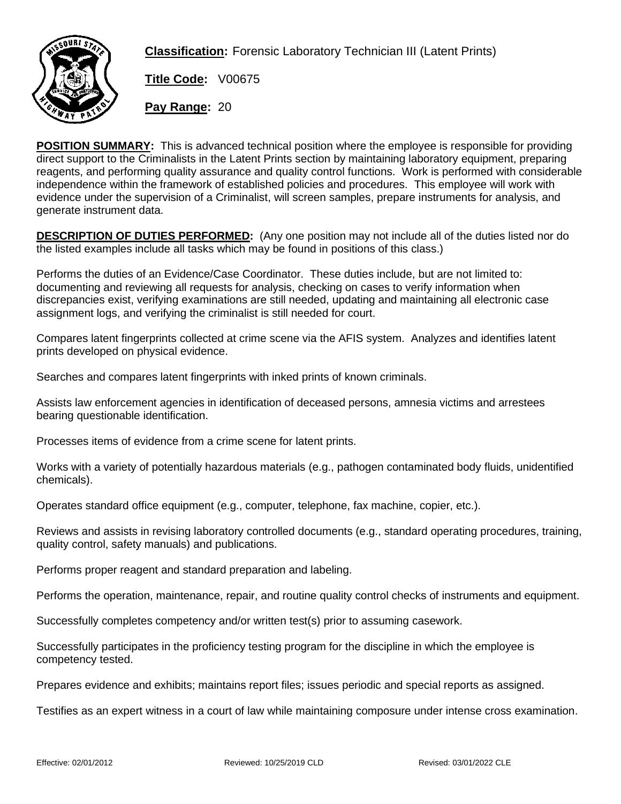

**Classification:** Forensic Laboratory Technician III (Latent Prints)

**Title Code:** V00675

**Pay Range:** 20

**POSITION SUMMARY:** This is advanced technical position where the employee is responsible for providing direct support to the Criminalists in the Latent Prints section by maintaining laboratory equipment, preparing reagents, and performing quality assurance and quality control functions. Work is performed with considerable independence within the framework of established policies and procedures. This employee will work with evidence under the supervision of a Criminalist, will screen samples, prepare instruments for analysis, and generate instrument data.

**DESCRIPTION OF DUTIES PERFORMED:** (Any one position may not include all of the duties listed nor do the listed examples include all tasks which may be found in positions of this class.)

Performs the duties of an Evidence/Case Coordinator. These duties include, but are not limited to: documenting and reviewing all requests for analysis, checking on cases to verify information when discrepancies exist, verifying examinations are still needed, updating and maintaining all electronic case assignment logs, and verifying the criminalist is still needed for court.

Compares latent fingerprints collected at crime scene via the AFIS system. Analyzes and identifies latent prints developed on physical evidence.

Searches and compares latent fingerprints with inked prints of known criminals.

Assists law enforcement agencies in identification of deceased persons, amnesia victims and arrestees bearing questionable identification.

Processes items of evidence from a crime scene for latent prints.

Works with a variety of potentially hazardous materials (e.g., pathogen contaminated body fluids, unidentified chemicals).

Operates standard office equipment (e.g., computer, telephone, fax machine, copier, etc.).

Reviews and assists in revising laboratory controlled documents (e.g., standard operating procedures, training, quality control, safety manuals) and publications.

Performs proper reagent and standard preparation and labeling.

Performs the operation, maintenance, repair, and routine quality control checks of instruments and equipment.

Successfully completes competency and/or written test(s) prior to assuming casework.

Successfully participates in the proficiency testing program for the discipline in which the employee is competency tested.

Prepares evidence and exhibits; maintains report files; issues periodic and special reports as assigned.

Testifies as an expert witness in a court of law while maintaining composure under intense cross examination.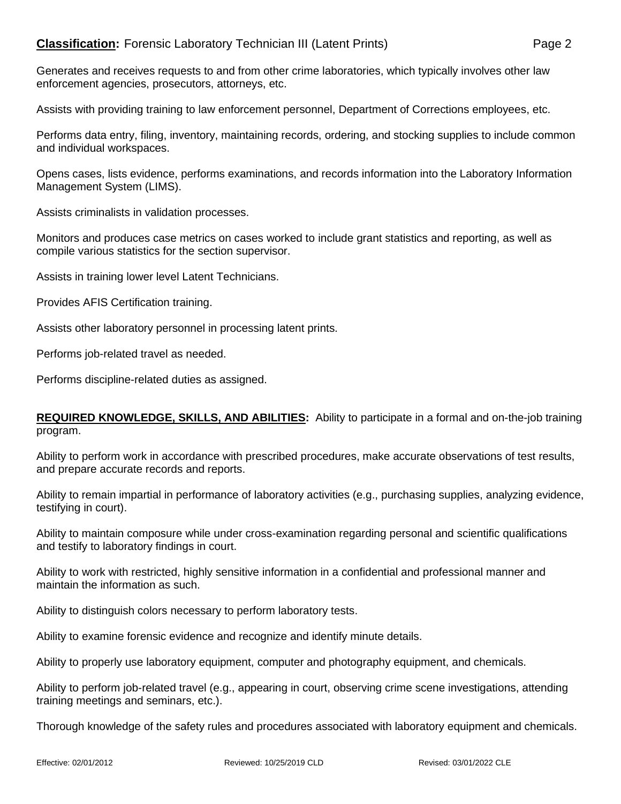Generates and receives requests to and from other crime laboratories, which typically involves other law enforcement agencies, prosecutors, attorneys, etc.

Assists with providing training to law enforcement personnel, Department of Corrections employees, etc.

Performs data entry, filing, inventory, maintaining records, ordering, and stocking supplies to include common and individual workspaces.

Opens cases, lists evidence, performs examinations, and records information into the Laboratory Information Management System (LIMS).

Assists criminalists in validation processes.

Monitors and produces case metrics on cases worked to include grant statistics and reporting, as well as compile various statistics for the section supervisor.

Assists in training lower level Latent Technicians.

Provides AFIS Certification training.

Assists other laboratory personnel in processing latent prints.

Performs job-related travel as needed.

Performs discipline-related duties as assigned.

## **REQUIRED KNOWLEDGE, SKILLS, AND ABILITIES:** Ability to participate in a formal and on-the-job training program.

Ability to perform work in accordance with prescribed procedures, make accurate observations of test results, and prepare accurate records and reports.

Ability to remain impartial in performance of laboratory activities (e.g., purchasing supplies, analyzing evidence, testifying in court).

Ability to maintain composure while under cross-examination regarding personal and scientific qualifications and testify to laboratory findings in court.

Ability to work with restricted, highly sensitive information in a confidential and professional manner and maintain the information as such.

Ability to distinguish colors necessary to perform laboratory tests.

Ability to examine forensic evidence and recognize and identify minute details.

Ability to properly use laboratory equipment, computer and photography equipment, and chemicals.

Ability to perform job-related travel (e.g., appearing in court, observing crime scene investigations, attending training meetings and seminars, etc.).

Thorough knowledge of the safety rules and procedures associated with laboratory equipment and chemicals.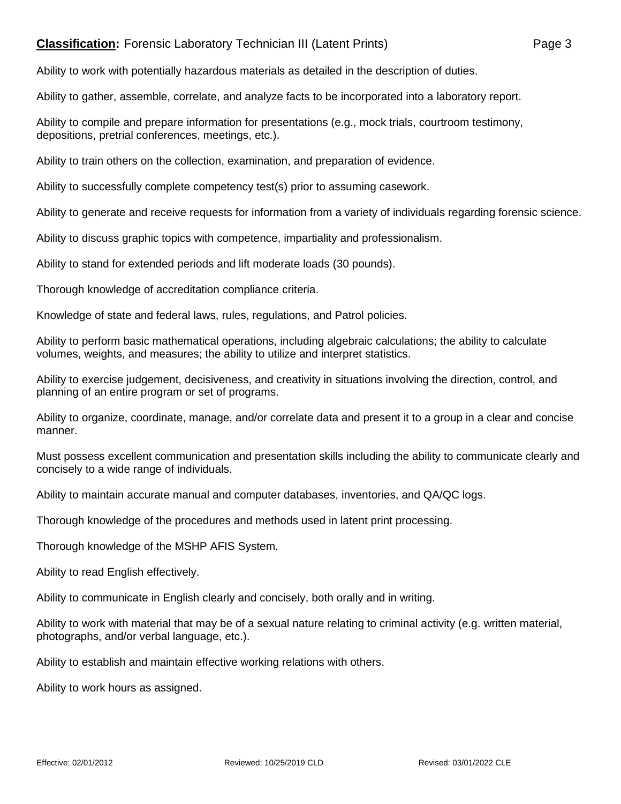## **Classification:** Forensic Laboratory Technician III (Latent Prints) Page 3

Ability to work with potentially hazardous materials as detailed in the description of duties.

Ability to gather, assemble, correlate, and analyze facts to be incorporated into a laboratory report.

Ability to compile and prepare information for presentations (e.g., mock trials, courtroom testimony, depositions, pretrial conferences, meetings, etc.).

Ability to train others on the collection, examination, and preparation of evidence.

Ability to successfully complete competency test(s) prior to assuming casework.

Ability to generate and receive requests for information from a variety of individuals regarding forensic science.

Ability to discuss graphic topics with competence, impartiality and professionalism.

Ability to stand for extended periods and lift moderate loads (30 pounds).

Thorough knowledge of accreditation compliance criteria.

Knowledge of state and federal laws, rules, regulations, and Patrol policies.

Ability to perform basic mathematical operations, including algebraic calculations; the ability to calculate volumes, weights, and measures; the ability to utilize and interpret statistics.

Ability to exercise judgement, decisiveness, and creativity in situations involving the direction, control, and planning of an entire program or set of programs.

Ability to organize, coordinate, manage, and/or correlate data and present it to a group in a clear and concise manner.

Must possess excellent communication and presentation skills including the ability to communicate clearly and concisely to a wide range of individuals.

Ability to maintain accurate manual and computer databases, inventories, and QA/QC logs.

Thorough knowledge of the procedures and methods used in latent print processing.

Thorough knowledge of the MSHP AFIS System.

Ability to read English effectively.

Ability to communicate in English clearly and concisely, both orally and in writing.

Ability to work with material that may be of a sexual nature relating to criminal activity (e.g. written material, photographs, and/or verbal language, etc.).

Ability to establish and maintain effective working relations with others.

Ability to work hours as assigned.